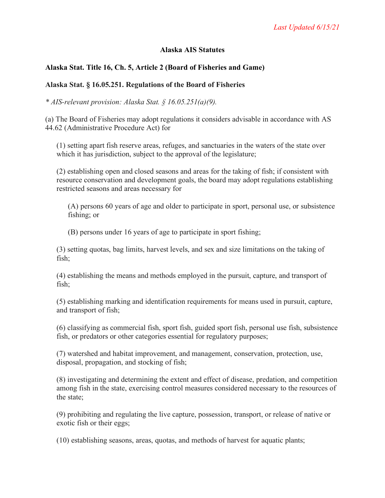### **Alaska AIS Statutes**

# **Alaska Stat. Title 16, Ch. 5, Article 2 (Board of Fisheries and Game)**

### **Alaska Stat. § 16.05.251. Regulations of the Board of Fisheries**

*\* AIS-relevant provision: Alaska Stat. § 16.05.251(a)(9).*

(a) The Board of Fisheries may adopt regulations it considers advisable in accordance with AS 44.62 (Administrative Procedure Act) for

(1) setting apart fish reserve areas, refuges, and sanctuaries in the waters of the state over which it has jurisdiction, subject to the approval of the legislature;

(2) establishing open and closed seasons and areas for the taking of fish; if consistent with resource conservation and development goals, the board may adopt regulations establishing restricted seasons and areas necessary for

(A) persons 60 years of age and older to participate in sport, personal use, or subsistence fishing; or

(B) persons under 16 years of age to participate in sport fishing;

(3) setting quotas, bag limits, harvest levels, and sex and size limitations on the taking of fish;

(4) establishing the means and methods employed in the pursuit, capture, and transport of fish;

(5) establishing marking and identification requirements for means used in pursuit, capture, and transport of fish;

(6) classifying as commercial fish, sport fish, guided sport fish, personal use fish, subsistence fish, or predators or other categories essential for regulatory purposes;

(7) watershed and habitat improvement, and management, conservation, protection, use, disposal, propagation, and stocking of fish;

(8) investigating and determining the extent and effect of disease, predation, and competition among fish in the state, exercising control measures considered necessary to the resources of the state;

(9) prohibiting and regulating the live capture, possession, transport, or release of native or exotic fish or their eggs;

(10) establishing seasons, areas, quotas, and methods of harvest for aquatic plants;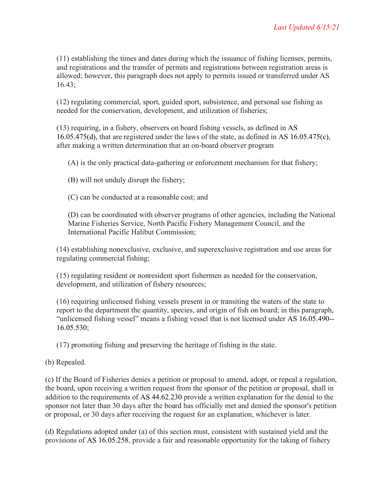(11) establishing the times and dates during which the issuance of fishing licenses, permits, and registrations and the transfer of permits and registrations between registration areas is allowed; however, this paragraph does not apply to permits issued or transferred under AS 16.43;

(12) regulating commercial, sport, guided sport, subsistence, and personal use fishing as needed for the conservation, development, and utilization of fisheries;

(13) requiring, in a fishery, observers on board fishing vessels, as defined in AS 16.05.475(d), that are registered under the laws of the state, as defined in AS 16.05.475(c), after making a written determination that an on-board observer program

(A) is the only practical data-gathering or enforcement mechanism for that fishery;

(B) will not unduly disrupt the fishery;

(C) can be conducted at a reasonable cost; and

(D) can be coordinated with observer programs of other agencies, including the National Marine Fisheries Service, North Pacific Fishery Management Council, and the International Pacific Halibut Commission;

(14) establishing nonexclusive, exclusive, and superexclusive registration and use areas for regulating commercial fishing;

(15) regulating resident or nonresident sport fishermen as needed for the conservation, development, and utilization of fishery resources;

(16) requiring unlicensed fishing vessels present in or transiting the waters of the state to report to the department the quantity, species, and origin of fish on board; in this paragraph, "unlicensed fishing vessel" means a fishing vessel that is not licensed under AS 16.05.490-- 16.05.530;

(17) promoting fishing and preserving the heritage of fishing in the state.

(b) Repealed.

(c) If the Board of Fisheries denies a petition or proposal to amend, adopt, or repeal a regulation, the board, upon receiving a written request from the sponsor of the petition or proposal, shall in addition to the requirements of AS 44.62.230 provide a written explanation for the denial to the sponsor not later than 30 days after the board has officially met and denied the sponsor's petition or proposal, or 30 days after receiving the request for an explanation, whichever is later.

(d) Regulations adopted under (a) of this section must, consistent with sustained yield and the provisions of AS 16.05.258, provide a fair and reasonable opportunity for the taking of fishery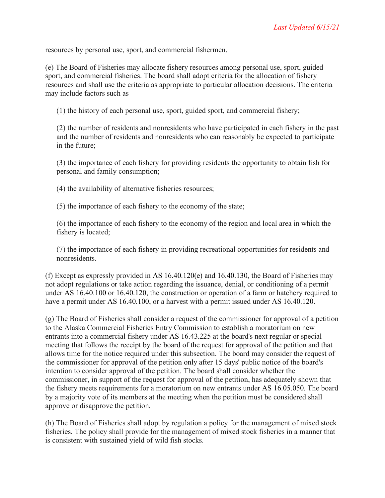resources by personal use, sport, and commercial fishermen.

(e) The Board of Fisheries may allocate fishery resources among personal use, sport, guided sport, and commercial fisheries. The board shall adopt criteria for the allocation of fishery resources and shall use the criteria as appropriate to particular allocation decisions. The criteria may include factors such as

(1) the history of each personal use, sport, guided sport, and commercial fishery;

(2) the number of residents and nonresidents who have participated in each fishery in the past and the number of residents and nonresidents who can reasonably be expected to participate in the future;

(3) the importance of each fishery for providing residents the opportunity to obtain fish for personal and family consumption;

(4) the availability of alternative fisheries resources;

(5) the importance of each fishery to the economy of the state;

(6) the importance of each fishery to the economy of the region and local area in which the fishery is located;

(7) the importance of each fishery in providing recreational opportunities for residents and nonresidents.

(f) Except as expressly provided in AS 16.40.120(e) and 16.40.130, the Board of Fisheries may not adopt regulations or take action regarding the issuance, denial, or conditioning of a permit under AS 16.40.100 or 16.40.120, the construction or operation of a farm or hatchery required to have a permit under AS 16.40.100, or a harvest with a permit issued under AS 16.40.120.

(g) The Board of Fisheries shall consider a request of the commissioner for approval of a petition to the Alaska Commercial Fisheries Entry Commission to establish a moratorium on new entrants into a commercial fishery under AS 16.43.225 at the board's next regular or special meeting that follows the receipt by the board of the request for approval of the petition and that allows time for the notice required under this subsection. The board may consider the request of the commissioner for approval of the petition only after 15 days' public notice of the board's intention to consider approval of the petition. The board shall consider whether the commissioner, in support of the request for approval of the petition, has adequately shown that the fishery meets requirements for a moratorium on new entrants under AS 16.05.050. The board by a majority vote of its members at the meeting when the petition must be considered shall approve or disapprove the petition.

(h) The Board of Fisheries shall adopt by regulation a policy for the management of mixed stock fisheries. The policy shall provide for the management of mixed stock fisheries in a manner that is consistent with sustained yield of wild fish stocks.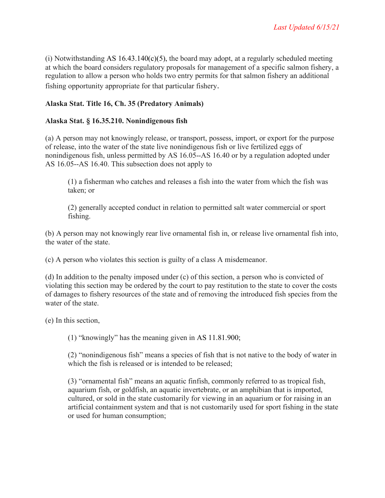(i) Notwithstanding AS  $16.43.140(c)(5)$ , the board may adopt, at a regularly scheduled meeting at which the board considers regulatory proposals for management of a specific salmon fishery, a regulation to allow a person who holds two entry permits for that salmon fishery an additional fishing opportunity appropriate for that particular fishery.

# **Alaska Stat. Title 16, Ch. 35 (Predatory Animals)**

# **Alaska Stat. § 16.35.210. Nonindigenous fish**

(a) A person may not knowingly release, or transport, possess, import, or export for the purpose of release, into the water of the state live nonindigenous fish or live fertilized eggs of nonindigenous fish, unless permitted by AS 16.05--AS 16.40 or by a regulation adopted under AS 16.05--AS 16.40. This subsection does not apply to

(1) a fisherman who catches and releases a fish into the water from which the fish was taken; or

(2) generally accepted conduct in relation to permitted salt water commercial or sport fishing.

(b) A person may not knowingly rear live ornamental fish in, or release live ornamental fish into, the water of the state.

(c) A person who violates this section is guilty of a class A misdemeanor.

(d) In addition to the penalty imposed under (c) of this section, a person who is convicted of violating this section may be ordered by the court to pay restitution to the state to cover the costs of damages to fishery resources of the state and of removing the introduced fish species from the water of the state.

(e) In this section,

(1) "knowingly" has the meaning given in AS 11.81.900;

(2) "nonindigenous fish" means a species of fish that is not native to the body of water in which the fish is released or is intended to be released;

(3) "ornamental fish" means an aquatic finfish, commonly referred to as tropical fish, aquarium fish, or goldfish, an aquatic invertebrate, or an amphibian that is imported, cultured, or sold in the state customarily for viewing in an aquarium or for raising in an artificial containment system and that is not customarily used for sport fishing in the state or used for human consumption;